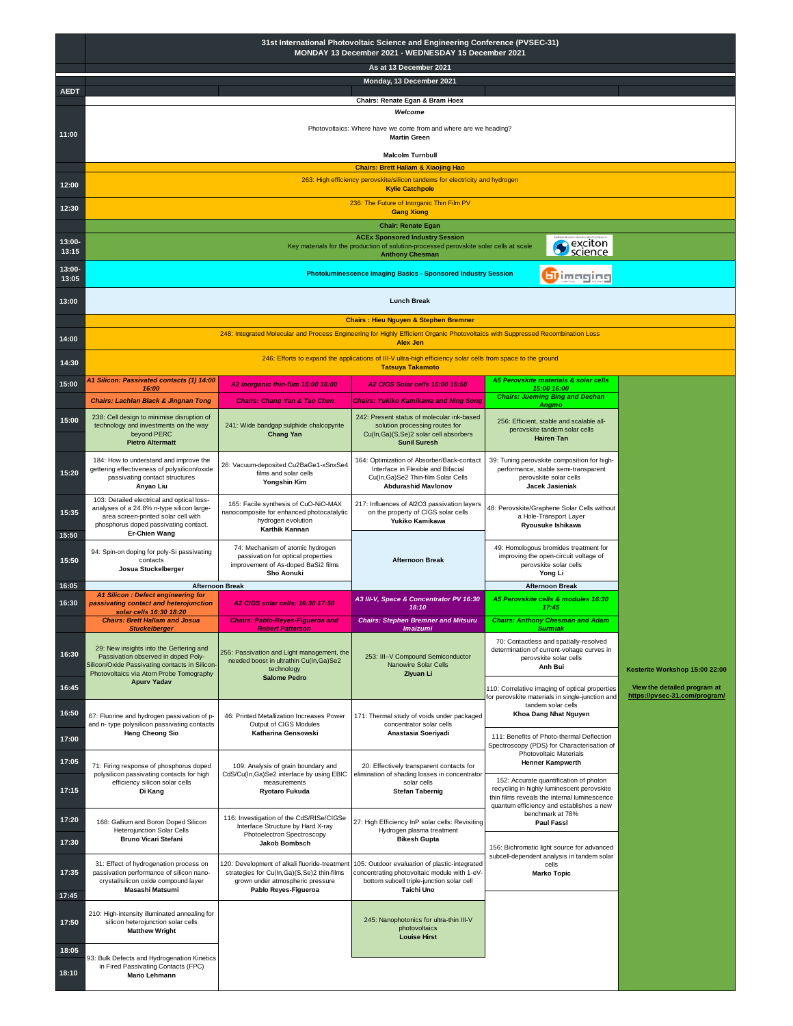|                          | 31st International Photovoltaic Science and Engineering Conference (PVSEC-31)<br>MONDAY 13 December 2021 - WEDNESDAY 15 December 2021                                                    |                                                                                                                                                         |                                                                                                                                                          |                                                                                                                                      |                                                               |  |  |
|--------------------------|------------------------------------------------------------------------------------------------------------------------------------------------------------------------------------------|---------------------------------------------------------------------------------------------------------------------------------------------------------|----------------------------------------------------------------------------------------------------------------------------------------------------------|--------------------------------------------------------------------------------------------------------------------------------------|---------------------------------------------------------------|--|--|
|                          | As at 13 December 2021<br>Monday, 13 December 2021                                                                                                                                       |                                                                                                                                                         |                                                                                                                                                          |                                                                                                                                      |                                                               |  |  |
| <b>AEDT</b>              | Chairs: Renate Egan & Bram Hoex                                                                                                                                                          |                                                                                                                                                         |                                                                                                                                                          |                                                                                                                                      |                                                               |  |  |
| 11:00                    | Welcome<br>Photovoltaics: Where have we come from and where are we heading?                                                                                                              |                                                                                                                                                         |                                                                                                                                                          |                                                                                                                                      |                                                               |  |  |
|                          | <b>Martin Green</b><br><b>Malcolm Turnbull</b>                                                                                                                                           |                                                                                                                                                         |                                                                                                                                                          |                                                                                                                                      |                                                               |  |  |
|                          | <b>Chairs: Brett Hallam &amp; Xiaojing Hao</b>                                                                                                                                           |                                                                                                                                                         |                                                                                                                                                          |                                                                                                                                      |                                                               |  |  |
| 12:00                    | 263: High efficiency perovskite/silicon tandems for electricity and hydrogen<br><b>Kylie Catchpole</b>                                                                                   |                                                                                                                                                         |                                                                                                                                                          |                                                                                                                                      |                                                               |  |  |
| 12:30                    | 236: The Future of Inorganic Thin Film PV<br><b>Gang Xiong</b>                                                                                                                           |                                                                                                                                                         |                                                                                                                                                          |                                                                                                                                      |                                                               |  |  |
| 13:00-                   | <b>Chair: Renate Egan</b><br><b>ACEx Sponsored Industry Session</b><br>Sexciton<br>Science<br>Key materials for the production of solution-processed perovskite solar cells at scale     |                                                                                                                                                         |                                                                                                                                                          |                                                                                                                                      |                                                               |  |  |
| 13:15<br>13:00-<br>13:05 | <b>Anthony Chesman</b><br><b>Photoluminescence Imaging Basics - Sponsored Industry Session</b><br><b>b</b> imaging                                                                       |                                                                                                                                                         |                                                                                                                                                          |                                                                                                                                      |                                                               |  |  |
| 13:00                    | <b>Lunch Break</b>                                                                                                                                                                       |                                                                                                                                                         |                                                                                                                                                          |                                                                                                                                      |                                                               |  |  |
|                          |                                                                                                                                                                                          |                                                                                                                                                         | <b>Chairs: Hieu Nguyen &amp; Stephen Bremner</b>                                                                                                         |                                                                                                                                      |                                                               |  |  |
| 14:00                    |                                                                                                                                                                                          |                                                                                                                                                         | 248: Integrated Molecular and Process Engineering for Highly Efficient Organic Photovoltaics with Suppressed Recombination Loss<br><b>Alex Jen</b>       |                                                                                                                                      |                                                               |  |  |
| 14:30                    |                                                                                                                                                                                          |                                                                                                                                                         | 246: Efforts to expand the applications of III-V ultra-high efficiency solar cells from space to the ground<br><b>Tatsuya Takamoto</b>                   |                                                                                                                                      |                                                               |  |  |
| 15:00                    | A1 Silicon: Passivated contacts (1) 14:00<br>16:00                                                                                                                                       | A2 Inorganic thin-film 15:00 16:00                                                                                                                      | A2 CIGS Solar cells 15:00 15:50                                                                                                                          | A5 Perovskite materials & solar cells<br>15:00 16:00<br><b>Chairs: Jueming Bing and Dechan</b>                                       |                                                               |  |  |
|                          | <b>Chairs: Lachlan Black &amp; Jingnan Tong</b><br>238: Cell design to minimise disruption of                                                                                            | <b>Chairs: Chang Yan &amp; Tao Chen</b>                                                                                                                 | Chairs: Yukiko Kamikawa and Ning Song<br>242: Present status of molecular ink-based                                                                      | Angmo                                                                                                                                |                                                               |  |  |
| 15:00                    | technology and investments on the way<br>beyond PERC<br><b>Pietro Altermatt</b>                                                                                                          | 241: Wide bandgap sulphide chalcopyrite<br><b>Chang Yan</b>                                                                                             | solution processing routes for<br>Cu(In, Ga)(S, Se)2 solar cell absorbers<br><b>Sunil Suresh</b>                                                         | 256: Efficient, stable and scalable all-<br>perovskite tandem solar cells<br><b>Hairen Tan</b>                                       |                                                               |  |  |
| 15:20                    | 184: How to understand and improve the<br>gettering effectiveness of polysilicon/oxide<br>passivating contact structures<br>Anyao Liu                                                    | 26: Vacuum-deposited Cu2BaGe1-xSnxSe4<br>films and solar cells<br>Yongshin Kim                                                                          | 164: Optimization of Absorber/Back-contact<br>Interface in Flexible and Bifacial<br>Cu(In, Ga) Se2 Thin-film Solar Cells<br><b>Abdurashid Mavlonov</b>   | 39: Tuning perovskite composition for high-<br>performance, stable semi-transparent<br>perovskite solar cells<br>Jacek Jasieniak     |                                                               |  |  |
| 15:35                    | 103: Detailed electrical and optical loss-<br>analyses of a 24.8% n-type silicon large-<br>area screen-printed solar cell with<br>phosphorus doped passivating contact.<br>Er-Chien Wang | 165: Facile synthesis of CuO-NiO-MAX<br>nanocomposite for enhanced photocatalytic<br>hydrogen evolution<br>Karthik Kannan                               | 217: Influences of Al2O3 passivation layers<br>on the property of CIGS solar cells<br>Yukiko Kamikawa                                                    | 48: Perovskite/Graphene Solar Cells without<br>a Hole-Transport Layer<br>Ryousuke Ishikawa                                           |                                                               |  |  |
| 15:50<br>15:50           | 94: Spin-on doping for poly-Si passivating<br>contacts<br>Josua Stuckelberger                                                                                                            | 74: Mechanism of atomic hydrogen<br>passivation for optical properties<br>improvement of As-doped BaSi2 films<br>Sho Aonuki                             | <b>Afternoon Break</b>                                                                                                                                   | 49: Homologous bromides treatment for<br>improving the open-circuit voltage of<br>perovskite solar cells<br>Yong Li                  |                                                               |  |  |
| 16:05                    | <b>Afternoon Break</b><br><b>A1 Silicon: Defect engineering for</b>                                                                                                                      |                                                                                                                                                         |                                                                                                                                                          | <b>Afternoon Break</b>                                                                                                               |                                                               |  |  |
| 16:30                    | passivating contact and heterojunction<br>solar cells 16:30 18:20                                                                                                                        | A2 CIGS solar cells: 16:30 17:50                                                                                                                        | A3 III-V, Space & Concentrator PV 16:30<br>18:10                                                                                                         | A5 Perovskite cells & modules 16:30<br>17:45                                                                                         |                                                               |  |  |
|                          | <b>Chairs: Brett Hallam and Josua</b><br><b>Stuckelberger</b>                                                                                                                            | <b>Chairs: Pablo-Reyes-Figueroa and</b><br><b>Robert Patterson</b>                                                                                      | <b>Chairs: Stephen Bremner and Mitsuru</b><br><b>Imaizumi</b>                                                                                            | <b>Chairs: Anthony Chesman and Adam</b><br><b>Surmiak</b>                                                                            |                                                               |  |  |
| 16:30                    | 29: New insights into the Gettering and<br>Passivation observed in doped Poly-<br>Silicon/Oxide Passivating contacts in Silicon-<br>Photovoltaics via Atom Probe Tomography              | 255: Passivation and Light management, the<br>needed boost in ultrathin Cu(In, Ga)Se2<br>technology<br><b>Salome Pedro</b>                              | 253: III-V Compound Semiconductor<br>Nanowire Solar Cells<br>Ziyuan Li                                                                                   | 70: Contactless and spatially-resolved<br>determination of current-voltage curves in<br>perovskite solar cells<br>Anh Bui            | Kesterite Workshop 15:00 22:00                                |  |  |
| 16:45                    | <b>Apurv Yadav</b>                                                                                                                                                                       |                                                                                                                                                         |                                                                                                                                                          | 110: Correlative imaging of optical properties<br>for perovskite materials in single-junction and                                    | View the detailed program at<br>https://pvsec-31.com/program/ |  |  |
| 16:50                    | 67: Fluorine and hydrogen passivation of p-<br>and n- type polysilicon passivating contacts                                                                                              | 46: Printed Metallization Increases Power<br>Output of CIGS Modules                                                                                     | 171: Thermal study of voids under packaged<br>concentrator solar cells                                                                                   | tandem solar cells<br>Khoa Dang Nhat Nguyen                                                                                          |                                                               |  |  |
| 17:00                    | <b>Hang Cheong Sio</b>                                                                                                                                                                   | Katharina Gensowski                                                                                                                                     | Anastasia Soeriyadi                                                                                                                                      | 111: Benefits of Photo-thermal Deflection<br>Spectroscopy (PDS) for Characterisation of                                              |                                                               |  |  |
| 17:05                    | 71: Firing response of phosphorus doped                                                                                                                                                  | 109: Analysis of grain boundary and                                                                                                                     | 20: Effectively transparent contacts for                                                                                                                 | Photovoltaic Materials<br><b>Henner Kampwerth</b>                                                                                    |                                                               |  |  |
| 17:15                    | polysilicon passivating contacts for high<br>efficiency silicon solar cells<br>measurements<br>Di Kang<br>Ryotaro Fukuda                                                                 | CdS/Cu(In,Ga)Se2 interface by using EBIC                                                                                                                | elimination of shading losses in concentrator<br>solar cells<br><b>Stefan Tabernig</b>                                                                   | 152: Accurate quantification of photon<br>recycling in highly luminescent perovskite<br>thin films reveals the internal luminescence |                                                               |  |  |
| 17:20                    | 168: Gallium and Boron Doped Silicon                                                                                                                                                     | 116: Investigation of the CdS/RISe/CIGSe                                                                                                                | 27: High Efficiency InP solar cells: Revisiting                                                                                                          | quantum efficiency and establishes a new<br>benchmark at 78%<br>Paul Fassi                                                           |                                                               |  |  |
| 17:30                    | Heterojunction Solar Cells<br><b>Bruno Vicari Stefani</b>                                                                                                                                | Interface Structure by Hard X-ray<br>Photoelectron Spectroscopy<br><b>Jakob Bombsch</b>                                                                 | Hydrogen plasma treatment<br><b>Bikesh Gupta</b>                                                                                                         |                                                                                                                                      |                                                               |  |  |
| 17:35                    | 31: Effect of hydrogenation process on<br>passivation performance of silicon nano-<br>crystal/silicon oxide compound layer<br>Masashi Matsumi                                            | 120: Development of alkali fluoride-treatment<br>strategies for Cu(In,Ga)(S,Se)2 thin-films<br>grown under atmospheric pressure<br>Pablo Reyes-Figueroa | 105: Outdoor evaluation of plastic-integrated<br>concentrating photovoltaic module with 1-eV-<br>bottom subcell triple-junction solar cell<br>Taichi Uno | 156: Bichromatic light source for advanced<br>subcell-dependent analysis in tandem solar<br>cells<br><b>Marko Topic</b>              |                                                               |  |  |
| 17:45<br>17:50           | 210: High-intensity illuminated annealing for<br>silicon heterojunction solar cells<br><b>Matthew Wright</b>                                                                             |                                                                                                                                                         | 245: Nanophotonics for ultra-thin III-V<br>photovoltaics                                                                                                 |                                                                                                                                      |                                                               |  |  |
| 18:05<br>18:10           | 93: Bulk Defects and Hydrogenation Kinetics<br>in Fired Passivating Contacts (FPC)<br>Mario Lehmann                                                                                      |                                                                                                                                                         | <b>Louise Hirst</b>                                                                                                                                      |                                                                                                                                      |                                                               |  |  |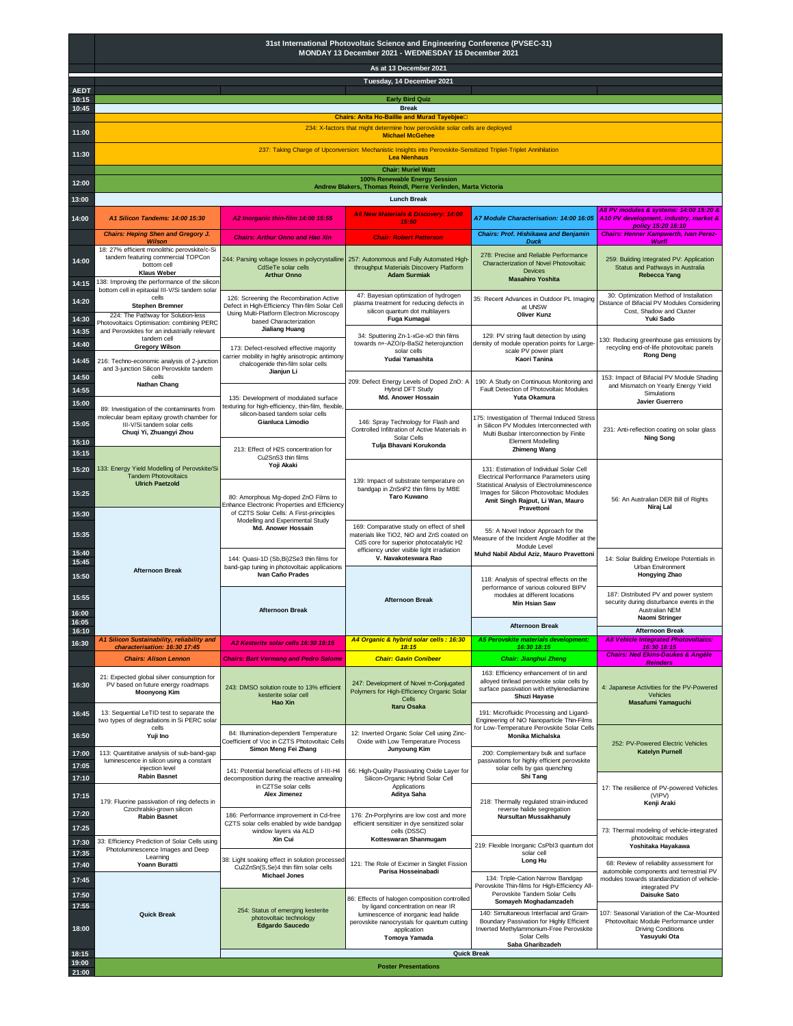|                | 31st International Photovoltaic Science and Engineering Conference (PVSEC-31)<br>MONDAY 13 December 2021 - WEDNESDAY 15 December 2021                |                                                                                              |                                                                                                                                                                                  |                                                                                                                                                                 |                                                                                                                  |  |
|----------------|------------------------------------------------------------------------------------------------------------------------------------------------------|----------------------------------------------------------------------------------------------|----------------------------------------------------------------------------------------------------------------------------------------------------------------------------------|-----------------------------------------------------------------------------------------------------------------------------------------------------------------|------------------------------------------------------------------------------------------------------------------|--|
|                | As at 13 December 2021                                                                                                                               |                                                                                              |                                                                                                                                                                                  |                                                                                                                                                                 |                                                                                                                  |  |
| <b>AEDT</b>    | Tuesday, 14 December 2021                                                                                                                            |                                                                                              |                                                                                                                                                                                  |                                                                                                                                                                 |                                                                                                                  |  |
| 10:15<br>10:45 |                                                                                                                                                      |                                                                                              | <b>Early Bird Quiz</b><br><b>Break</b>                                                                                                                                           |                                                                                                                                                                 |                                                                                                                  |  |
| 11:00          | Chairs: Anita Ho-Baillie and Murad Tayebjee<br>234: X-factors that might determine how perovskite solar cells are deployed<br><b>Michael McGehee</b> |                                                                                              |                                                                                                                                                                                  |                                                                                                                                                                 |                                                                                                                  |  |
| 11:30          |                                                                                                                                                      |                                                                                              | 237: Taking Charge of Upconversion: Mechanistic Insights into Perovskite-Sensitized Triplet-Triplet Annihilation<br><b>Lea Nienhaus</b>                                          |                                                                                                                                                                 |                                                                                                                  |  |
| 12:00          |                                                                                                                                                      |                                                                                              | <b>Chair: Muriel Watt</b><br>100% Renewable Energy Session                                                                                                                       |                                                                                                                                                                 |                                                                                                                  |  |
| 13:00          |                                                                                                                                                      |                                                                                              | Andrew Blakers, Thomas Reindl, Pierre Verlinden, Marta Victoria<br><b>Lunch Break</b>                                                                                            |                                                                                                                                                                 |                                                                                                                  |  |
|                | A1 Silicon Tandems: 14:00 15:30                                                                                                                      | A2 Inorganic thin-film 14:00 15:55                                                           | <b>A6 New Materials &amp; Discovery: 14:00</b>                                                                                                                                   | A7 Module Characterisation: 14:00 16:05                                                                                                                         | A8 PV modules & systems: 14:00 15:20 &<br>A10 PV development, industry, market &                                 |  |
| 14:00          | <b>Chairs: Heping Shen and Gregory J.</b>                                                                                                            | <b>Chairs: Arthur Onno and Hao Xin</b>                                                       | 15:50<br><b>Chair: Robert Patterson</b>                                                                                                                                          | <b>Chairs: Prof. Hishikawa and Benjamin</b>                                                                                                                     | policy 15:20 16:10<br><b>Chairs: Henner Kampwerth, Ivan Perez-</b>                                               |  |
|                | <b>Wilson</b><br>18: 27% efficient monolithic perovskite/c-Si                                                                                        |                                                                                              |                                                                                                                                                                                  | <b>Duck</b>                                                                                                                                                     | <b>Wurfl</b>                                                                                                     |  |
| 14:00          | tandem featuring commercial TOPCon<br>bottom cell<br><b>Klaus Weber</b><br>138: Improving the performance of the silicor                             | 244: Parsing voltage losses in polycrystalline<br>CdSeTe solar cells<br><b>Arthur Onno</b>   | 257: Autonomous and Fully Automated High<br>throughput Materials Discovery Platform<br><b>Adam Surmiak</b>                                                                       | 278: Precise and Reliable Performance<br>Characterization of Novel Photovoltaic<br>Devices<br><b>Masahiro Yoshita</b>                                           | 259: Building Integrated PV: Application<br>Status and Pathways in Australia<br><b>Rebecca Yang</b>              |  |
| 14:15          | bottom cell in epitaxial III-V/Si tandem solar<br>cells                                                                                              | 126: Screening the Recombination Active                                                      | 47: Bayesian optimization of hydrogen                                                                                                                                            |                                                                                                                                                                 | 30: Optimization Method of Installation                                                                          |  |
| 14:20          | <b>Stephen Bremner</b><br>224: The Pathway for Solution-less                                                                                         | Defect in High-Efficiency Thin-film Solar Cell<br>Using Multi-Platform Electron Microscopy   | plasma treatment for reducing defects in<br>silicon quantum dot multilayers                                                                                                      | 35: Recent Advances in Outdoor PL Imaging<br>at UNSW<br><b>Oliver Kunz</b>                                                                                      | Distance of Bifacial PV Modules Considering<br>Cost, Shadow and Cluster                                          |  |
| 14:30          | Photovoltaics Optimisation: combining PERC<br>and Perovskites for an industrially relevant                                                           | based Characterization<br><b>Jialiang Huang</b>                                              | Fuga Kumagai                                                                                                                                                                     |                                                                                                                                                                 | Yuki Sado                                                                                                        |  |
| 14:35<br>14:40 | tandem cell<br><b>Gregory Wilson</b>                                                                                                                 | 173: Defect-resolved effective majority                                                      | 34: Sputtering Zn-1-xGe-xO thin films<br>towards n+-AZO/p-BaSi2 heterojunction                                                                                                   | 129: PV string fault detection by using<br>density of module operation points for Large                                                                         | 30: Reducing greenhouse gas emissions by<br>recycling end-of-life photovoltaic panels                            |  |
| 14:45          | 216: Techno-economic analysis of 2-junction                                                                                                          | carrier mobility in highly anisotropic antimony<br>chalcogenide thin-film solar cells        | solar cells<br>Yudai Yamashita                                                                                                                                                   | scale PV power plant<br>Kaori Tanina                                                                                                                            | <b>Rong Deng</b>                                                                                                 |  |
| 14:50          | and 3-junction Silicon Perovskite tandem<br>cells                                                                                                    | Jianjun Li                                                                                   |                                                                                                                                                                                  |                                                                                                                                                                 | 153: Impact of Bifacial PV Module Shading                                                                        |  |
| 14:55          | <b>Nathan Chang</b>                                                                                                                                  |                                                                                              | 209: Defect Energy Levels of Doped ZnO: A<br>Hybrid DFT Study                                                                                                                    | 190: A Study on Continuous Monitoring and<br>Fault Detection of Photovoltaic Modules                                                                            | and Mismatch on Yearly Energy Yield<br>Simulations                                                               |  |
| 15:00          | 89: Investigation of the contaminants from                                                                                                           | 135: Development of modulated surface<br>texturing for high-efficiency, thin-film, flexible, | Md. Anower Hossain                                                                                                                                                               | Yuta Okamura                                                                                                                                                    | Javier Guerrero                                                                                                  |  |
| 15:05<br>15:10 | molecular beam epitaxy growth chamber for<br>III-V/Si tandem solar cells<br>Chuqi Yi, Zhuangyi Zhou                                                  | silicon-based tandem solar cells<br>Gianluca Limodio                                         | 146: Spray Technology for Flash and<br>Controlled Infiltration of Active Materials in<br>Solar Cells                                                                             | 175: Investigation of Thermal Induced Stress<br>in Silicon PV Modules Interconnected with<br>Multi Busbar Interconnection by Finite<br><b>Element Modelling</b> | 231: Anti-reflection coating on solar glass<br><b>Ning Song</b>                                                  |  |
| 15:15          |                                                                                                                                                      | 213: Effect of H2S concentration for<br>Cu2SnS3 thin films                                   | Tulja Bhavani Korukonda                                                                                                                                                          | <b>Zhimeng Wang</b>                                                                                                                                             |                                                                                                                  |  |
| 15:20          | 133: Energy Yield Modelling of Perovskite/Si<br><b>Tandem Photovoltaics</b><br><b>Ulrich Paetzold</b>                                                | Yoji Akaki                                                                                   | 139: Impact of substrate temperature on                                                                                                                                          | 131: Estimation of Individual Solar Cell<br>Electrical Performance Parameters using                                                                             |                                                                                                                  |  |
| 15:25          |                                                                                                                                                      | 80: Amorphous Mg-doped ZnO Films to<br>Enhance Electronic Properties and Efficiency          | bandgap in ZnSnP2 thin films by MBE<br><b>Taro Kuwano</b>                                                                                                                        | Statistical Analysis of Electroluminescence<br>Images for Silicon Photovoltaic Modules<br>Amit Singh Rajput, Li Wan, Mauro<br>Pravettoni                        | 56: An Australian DER Bill of Rights<br>Niraj Lal                                                                |  |
| 15:30          |                                                                                                                                                      | of CZTS Solar Cells: A First-principles<br>Modelling and Experimental Study                  |                                                                                                                                                                                  |                                                                                                                                                                 |                                                                                                                  |  |
| 15:35          |                                                                                                                                                      | Md. Anower Hossain                                                                           | 169: Comparative study on effect of shell<br>materials like TiO2, NiO and ZnS coated on<br>CdS core for superior photocatalytic H2<br>efficiency under visible light irradiation | 55: A Novel Indoor Approach for the<br>Measure of the Incident Angle Modifier at the<br>Module Level                                                            |                                                                                                                  |  |
| 15:40<br>15:45 |                                                                                                                                                      | 144: Quasi-1D (Sb, Bi) 2Se3 thin films for<br>band-gap tuning in photovoltaic applications   | V. Navakoteswara Rao                                                                                                                                                             | Muhd Nabil Abdul Aziz, Mauro Pravettoni                                                                                                                         | 14: Solar Building Envelope Potentials in<br>Urban Environment                                                   |  |
| 15:50          | <b>Afternoon Break</b>                                                                                                                               | Ivan Caño Prades                                                                             |                                                                                                                                                                                  | 118: Analysis of spectral effects on the<br>performance of various coloured BIPV                                                                                | Hongying Zhao                                                                                                    |  |
| 15:55          |                                                                                                                                                      |                                                                                              | <b>Afternoon Break</b>                                                                                                                                                           | modules at different locations<br><b>Min Hsian Saw</b>                                                                                                          | 187: Distributed PV and power system<br>security during disturbance events in the<br>Australian NEM              |  |
| 16:00<br>16:05 |                                                                                                                                                      | <b>Afternoon Break</b>                                                                       |                                                                                                                                                                                  |                                                                                                                                                                 | Naomi Stringer                                                                                                   |  |
| 16:10          | A1 Silicon Sustainability, reliability and                                                                                                           |                                                                                              | A4 Organic & hybrid solar cells : 16:30                                                                                                                                          | <b>Afternoon Break</b><br>A5 Perovskite materials development:                                                                                                  | <b>Afternoon Break</b><br><b>A8 Vehicle Integrated Photovoltaics:</b>                                            |  |
| 16:30          | characterisation: 16:30 17:45<br><b>Chairs: Alison Lennon</b>                                                                                        | A2 Kesterite solar cells 16:30 18:15<br><b>Chairs: Bart Vermang and Pedro Salome</b>         | 18:15<br><b>Chair: Gavin Conibeer</b>                                                                                                                                            | 16:30 18:15<br><b>Chair: Jianghui Zheng</b>                                                                                                                     | 16:30 18:15<br><b>Chairs: Ned Ekins-Daukes &amp; Angèle</b>                                                      |  |
| 16:30          | 21: Expected global silver consumption for<br>PV based on future energy roadmaps<br><b>Moonyong Kim</b>                                              | 243: DMSO solution route to 13% efficient                                                    | 247: Development of Novel π-Conjugated<br>Polymers for High-Efficiency Organic Solar                                                                                             | 163: Efficiency enhancement of tin and<br>alloyed tin/lead perovskite solar cells by<br>surface passivation with ethylenediamine                                | <b>Reinders</b><br>4: Japanese Activities for the PV-Powered                                                     |  |
|                |                                                                                                                                                      | kesterite solar cell<br>Hao Xin                                                              | Cells<br><b>Itaru Osaka</b>                                                                                                                                                      | Shuzi Hayase                                                                                                                                                    | Vehicles<br>Masafumi Yamaguchi                                                                                   |  |
| 16:45<br>16:50 | 13: Sequential LeTID test to separate the<br>two types of degradations in Si PERC solar<br>cells<br>Yuji Ino                                         | 84: Illumination-dependent Temperature                                                       | 12: Inverted Organic Solar Cell using Zinc-                                                                                                                                      | 191: Microfluidic Processing and Ligand-<br>Engineering of NiO Nanoparticle Thin-Films<br>for Low-Temperature Perovskite Solar Cells<br>Monika Michalska        |                                                                                                                  |  |
| 17:00          | 113: Quantitative analysis of sub-band-gap                                                                                                           | Coefficient of Voc in CZTS Photovoltaic Cells<br>Simon Meng Fei Zhang                        | Oxide with Low Temperature Process<br><b>Junyoung Kim</b>                                                                                                                        | 200: Complementary bulk and surface                                                                                                                             | 252: PV-Powered Electric Vehicles<br><b>Katelyn Purnell</b>                                                      |  |
| 17:05<br>17:10 | luminescence in silicon using a constant<br>injection level<br><b>Rabin Basnet</b>                                                                   | 141: Potential beneficial effects of I-III-H4<br>decomposition during the reactive annealing | 66: High-Quality Passivating Oxide Layer for<br>Silicon-Organic Hybrid Solar Cell                                                                                                | passivations for highly efficient perovskite<br>solar cells by gas quenching<br>Shi Tang                                                                        |                                                                                                                  |  |
| 17:15          | 179: Fluorine passivation of ring defects in                                                                                                         | in CZTSe solar cells<br>Alex Jimenez                                                         | Applications<br>Aditya Saha                                                                                                                                                      | 218: Thermally regulated strain-induced                                                                                                                         | 17: The resilience of PV-powered Vehicles<br>(VIPV)                                                              |  |
| 17:20          | Czochralski-grown silicon<br><b>Rabin Basnet</b>                                                                                                     | 186: Performance improvement in Cd-free                                                      | 176: Zn-Porphyrins are low cost and more                                                                                                                                         | reverse halide segregation<br>Nursultan Mussakhanuly                                                                                                            | Kenji Araki                                                                                                      |  |
| 17:25          |                                                                                                                                                      | CZTS solar cells enabled by wide bandgap<br>window layers via ALD                            | efficient sensitizer in dye sensitized solar<br>cells (DSSC)                                                                                                                     |                                                                                                                                                                 | 73: Thermal modeling of vehicle-integrated                                                                       |  |
| 17:30<br>17:35 | 33: Efficiency Prediction of Solar Cells using<br>Photoluminescence Images and Deep<br>Learning                                                      | Xin Cui                                                                                      | Kotteswaran Shanmugam                                                                                                                                                            | 219: Flexible Inorganic CsPbI3 quantum dot<br>solar cell                                                                                                        | photovoltaic modules<br>Yoshitaka Hayakawa                                                                       |  |
| 17:40          | Yoann Buratti                                                                                                                                        | 38: Light soaking effect in solution processed<br>Cu2ZnSn(S,Se)4 thin film solar cells       | 121: The Role of Excimer in Singlet Fission<br>Parisa Hosseinabadi                                                                                                               | Long Hu                                                                                                                                                         | 68: Review of reliability assessment for<br>automobile components and terrestrial PV                             |  |
| 17:45          |                                                                                                                                                      | <b>Michael Jones</b>                                                                         |                                                                                                                                                                                  | 134: Triple-Cation Narrow Bandgap<br>Perovskite Thin-films for High-Efficiency All-                                                                             | modules towards standardization of vehicle-<br>integrated PV                                                     |  |
| 17:50<br>17:55 |                                                                                                                                                      |                                                                                              | 86: Effects of halogen composition controlled<br>by ligand concentration on near IR                                                                                              | Perovskite Tandem Solar Cells<br>Somayeh Moghadamzadeh                                                                                                          | Daisuke Sato                                                                                                     |  |
| 18:00          | <b>Quick Break</b>                                                                                                                                   | 254: Status of emerging kesterite<br>photovoltaic technology<br><b>Edgardo Saucedo</b>       | luminescence of inorganic lead halide<br>perovskite nanocrystals for quantum cutting<br>application                                                                              | 140: Simultaneous Interfacial and Grain-<br>Boundary Passivation for Highly Efficient<br>Inverted Methylammonium-Free Perovskite                                | 107: Seasonal Variation of the Car-Mounted<br>Photovoltaic Module Performance under<br><b>Driving Conditions</b> |  |
|                |                                                                                                                                                      |                                                                                              | Tomoya Yamada                                                                                                                                                                    | Solar Cells<br>Saba Gharibzadeh                                                                                                                                 | Yasuyuki Ota                                                                                                     |  |
| 18:15<br>19:00 |                                                                                                                                                      |                                                                                              |                                                                                                                                                                                  | <b>Quick Break</b>                                                                                                                                              |                                                                                                                  |  |
| 21:00          |                                                                                                                                                      |                                                                                              | <b>Poster Presentations</b>                                                                                                                                                      |                                                                                                                                                                 |                                                                                                                  |  |